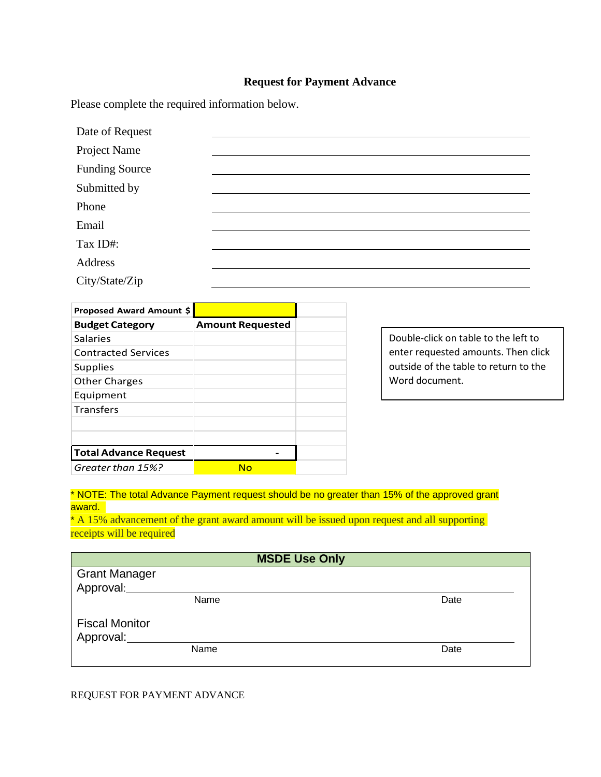## **Request for Payment Advance**

Please complete the required information below.

| Date of Request       |  |
|-----------------------|--|
| Project Name          |  |
| <b>Funding Source</b> |  |
| Submitted by          |  |
| Phone                 |  |
| Email                 |  |
| Tax ID#:              |  |
| Address               |  |
| City/State/Zip        |  |

| Proposed Award Amount \$     |                         |
|------------------------------|-------------------------|
| <b>Budget Category</b>       | <b>Amount Requested</b> |
| Salaries                     |                         |
| <b>Contracted Services</b>   |                         |
| <b>Supplies</b>              |                         |
| <b>Other Charges</b>         |                         |
| Equipment                    |                         |
| <b>Transfers</b>             |                         |
|                              |                         |
|                              |                         |
| <b>Total Advance Request</b> |                         |
| Greater than 15%?            | Nο                      |

Double-click on table to the left to enter requested amounts. Then click outside of the table to return to the Word document.

\* NOTE: The total Advance Payment request should be no greater than 15% of the approved grant award.

\* A 15% advancement of the grant award amount will be issued upon request and all supporting receipts will be required

| <b>MSDE Use Only</b>               |      |      |  |
|------------------------------------|------|------|--|
| <b>Grant Manager</b><br>Approval:  |      |      |  |
|                                    | Name | Date |  |
| <b>Fiscal Monitor</b><br>Approval: |      |      |  |
|                                    | Name | Date |  |

## REQUEST FOR PAYMENT ADVANCE